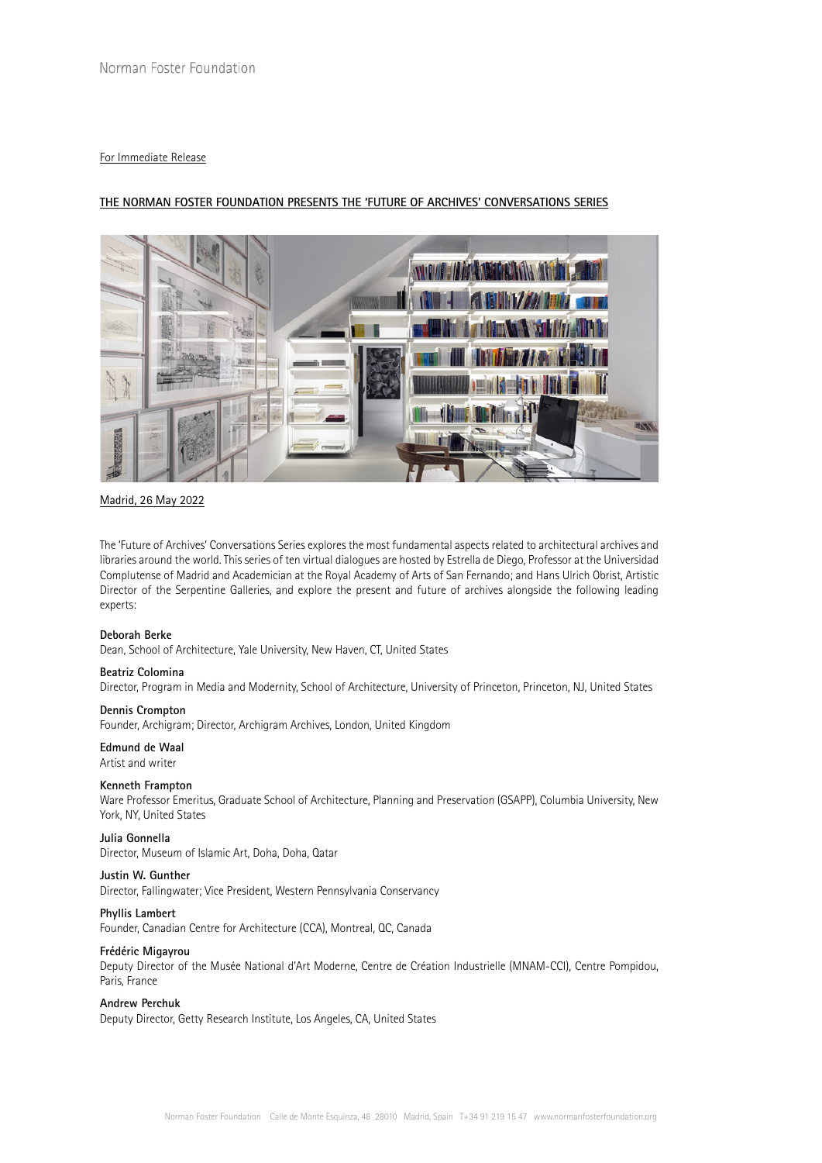## For Immediate Release

# **THE NORMAN FOSTER FOUNDATION PRESENTS THE 'FUTURE OF ARCHIVES' CONVERSATIONS SERIES**



## Madrid, 26 May 2022

The 'Future of Archives' Conversations Series explores the most fundamental aspects related to architectural archives and libraries around the world. This series of ten virtual dialogues are hosted by Estrella de Diego, Professor at the Universidad Complutense of Madrid and Academician at the Royal Academy of Arts of San Fernando; and Hans Ulrich Obrist, Artistic Director of the Serpentine Galleries, and explore the present and future of archives alongside the following leading experts:

## **Deborah Berke**

Dean, School of Architecture, Yale University, New Haven, CT, United States

## **Beatriz Colomina**

Director, Program in Media and Modernity, School of Architecture, University of Princeton, Princeton, NJ, United States

## **Dennis Crompton**

Founder, Archigram; Director, Archigram Archives, London, United Kingdom

## **Edmund de Waal**

Artist and writer

#### **Kenneth Frampton**

Ware Professor Emeritus, Graduate School of Architecture, Planning and Preservation (GSAPP), Columbia University, New York, NY, United States

### **Julia Gonnella**

Director, Museum of Islamic Art, Doha, Doha, Qatar

#### **Justin W. Gunther**

Director, Fallingwater; Vice President, Western Pennsylvania Conservancy

#### **Phyllis Lambert**

Founder, Canadian Centre for Architecture (CCA), Montreal, QC, Canada

## **Frédéric Migayrou**

Deputy Director of the Musée National d'Art Moderne, Centre de Création Industrielle (MNAM-CCI), Centre Pompidou, Paris, France

## **Andrew Perchuk**

Deputy Director, Getty Research Institute, Los Angeles, CA, United States